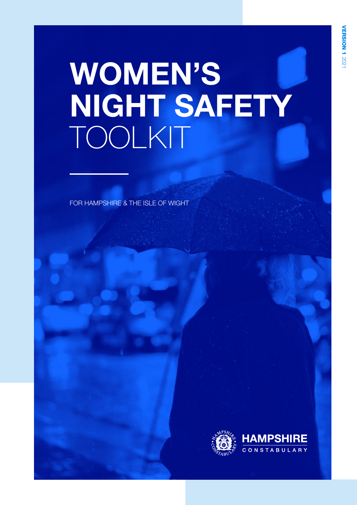# WOMEN'S NIGHT SAFETY TOOLKIT

FOR HAMPSHIRE & THE ISLE OF WIGHT

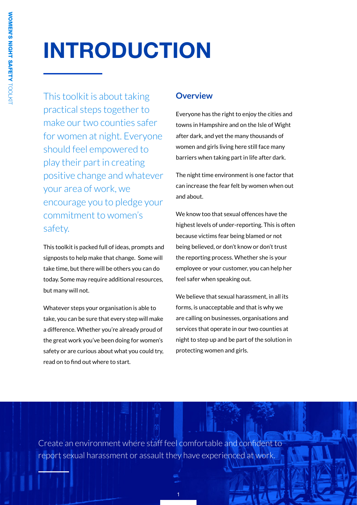# INTRODUCTION

This toolkit is about taking practical steps together to make our two counties safer for women at night. Everyone should feel empowered to play their part in creating positive change and whatever your area of work, we encourage you to pledge your commitment to women's safety.

This toolkit is packed full of ideas, prompts and signposts to help make that change. Some will take time, but there will be others you can do today. Some may require additional resources, but many will not.

Whatever steps your organisation is able to take, you can be sure that every step will make a difference. Whether you're already proud of the great work you've been doing for women's safety or are curious about what you could try, read on to find out where to start.

## **Overview**

Everyone has the right to enjoy the cities and towns in Hampshire and on the Isle of Wight after dark, and yet the many thousands of women and girls living here still face many barriers when taking part in life after dark.

The night time environment is one factor that can increase the fear felt by women when out and about.

We know too that sexual offences have the highest levels of under-reporting. This is often because victims fear being blamed or not being believed, or don't know or don't trust the reporting process. Whether she is your employee or your customer, you can help her feel safer when speaking out.

We believe that sexual harassment, in all its forms, is unacceptable and that is why we are calling on businesses, organisations and services that operate in our two counties at night to step up and be part of the solution in protecting women and girls.

Create an environment where staff feel comfortable and confident to report sexual harassment or assault they have experienced at work.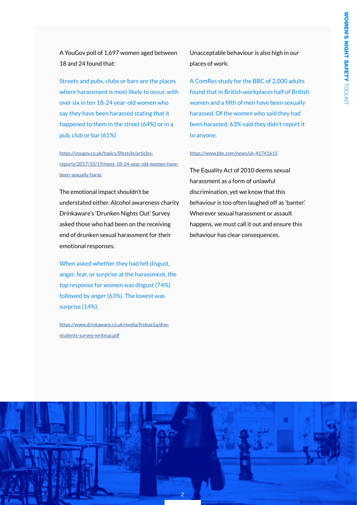A YouGov poll of 1,697 women aged between 18 and 24 found that:

Streets and pubs, clubs or bars are the places where harassment is most likely to occur, with over six in ten 18-24 year-old women who say they have been harassed stating that it happened to them in the street (64%) or in a pub, club or bar (61%)

[https://yougov.co.uk/topics/lifestyle/articles](https://yougov.co.uk/topics/lifestyle/articles-reports/2017/10/19/most-18-24-year-old-women-have-been-sexually-haras)[reports/2017/10/19/most-18-24-year-old-women-have](https://yougov.co.uk/topics/lifestyle/articles-reports/2017/10/19/most-18-24-year-old-women-have-been-sexually-haras)[been-sexually-haras](https://yougov.co.uk/topics/lifestyle/articles-reports/2017/10/19/most-18-24-year-old-women-have-been-sexually-haras)

The emotional impact shouldn't be understated either. Alcohol awareness charity Drinkaware's 'Drunken Nights Out' Survey asked those who had been on the receiving end of drunken sexual harassment for their emotional responses.

When asked whether they had felt disgust, anger, fear, or surprise at the harassment, the top response for women was disgust (74%) followed by anger (63%). The lowest was surprise (14%).

https://www.drinkaware.co.uk/media/frebaa1q/dnostudents-survey-writeup.pdf

Unacceptable behaviour is also high in our places of work.

A ComRes study for the BBC of 2,000 adults found that in British workplaces half of British women and a fifth of men have been sexually harassed. Of the women who said they had been harassed, 63% said they didn't report it to anyone.

#### https://www.bbc.com/news/uk-41741615

The Equality Act of 2010 deems sexual harassment as a form of unlawful discrimination, yet we know that this behaviour is too often laughed off as 'banter.' Wherever sexual harassment or assault happens, we must call it out and ensure this behaviour has clear consequences.

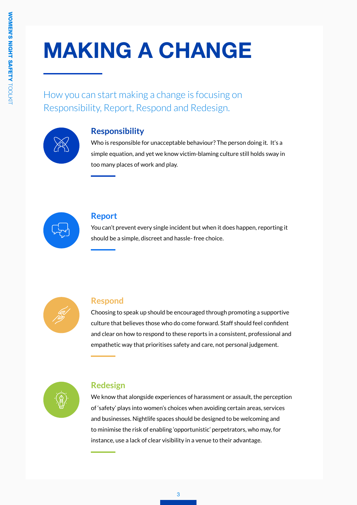# MAKING A CHANGE

How you can start making a change is focusing on Responsibility, Report, Respond and Redesign.



# **Responsibility**

Who is responsible for unacceptable behaviour? The person doing it. It's a simple equation, and yet we know victim-blaming culture still holds sway in too many places of work and play.



### **Report**

You can't prevent every single incident but when it does happen, reporting it should be a simple, discreet and hassle- free choice.



# **Respond**

Choosing to speak up should be encouraged through promoting a supportive culture that believes those who do come forward. Staff should feel confident and clear on how to respond to these reports in a consistent, professional and empathetic way that prioritises safety and care, not personal judgement.



# **Redesign**

We know that alongside experiences of harassment or assault, the perception of 'safety' plays into women's choices when avoiding certain areas, services and businesses. Nightlife spaces should be designed to be welcoming and to minimise the risk of enabling 'opportunistic' perpetrators, who may, for instance, use a lack of clear visibility in a venue to their advantage.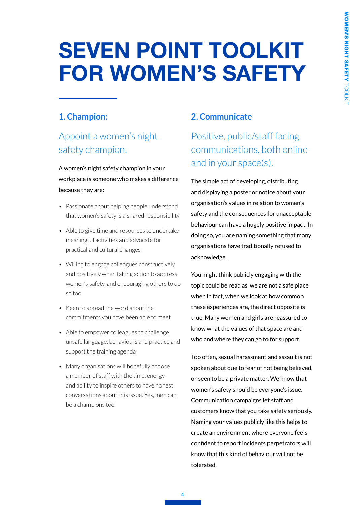# SEVEN POINT TOOLKIT FOR WOMEN'S SAFETY

# **1. Champion:**

# Appoint a women's night safety champion.

A women's night safety champion in your workplace is someone who makes a difference because they are:

- Passionate about helping people understand that women's safety is a shared responsibility
- Able to give time and resources to undertake meaningful activities and advocate for practical and cultural changes
- Willing to engage colleagues constructively and positively when taking action to address women's safety, and encouraging others to do so too
- Keen to spread the word about the commitments you have been able to meet
- Able to empower colleagues to challenge unsafe language, behaviours and practice and support the training agenda
- Many organisations will hopefully choose a member of staff with the time, energy and ability to inspire others to have honest conversations about this issue. Yes, men can be a champions too.

## **2. Communicate**

Positive, public/staff facing communications, both online and in your space(s).

The simple act of developing, distributing and displaying a poster or notice about your organisation's values in relation to women's safety and the consequences for unacceptable behaviour can have a hugely positive impact. In doing so, you are naming something that many organisations have traditionally refused to acknowledge.

You might think publicly engaging with the topic could be read as 'we are not a safe place' when in fact, when we look at how common these experiences are, the direct opposite is true. Many women and girls are reassured to know what the values of that space are and who and where they can go to for support.

Too often, sexual harassment and assault is not spoken about due to fear of not being believed, or seen to be a private matter. We know that women's safety should be everyone's issue. Communication campaigns let staff and customers know that you take safety seriously. Naming your values publicly like this helps to create an environment where everyone feels confident to report incidents perpetrators will know that this kind of behaviour will not be tolerated.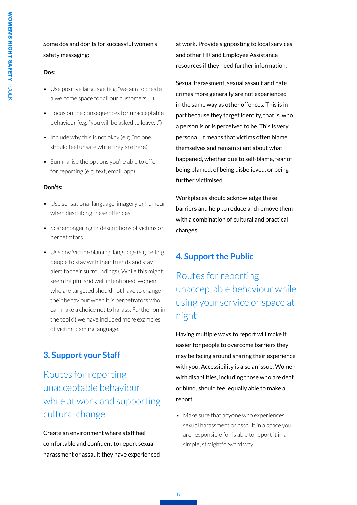### Some dos and don'ts for successful women's safety messaging:

#### Dos:

- Use positive language (e.g. "we aim to create a welcome space for all our customers…")
- Focus on the consequences for unacceptable behaviour (e.g. "you will be asked to leave…")
- Include why this is not okay (e.g. "no one should feel unsafe while they are here)
- Summarise the options you're able to offer for reporting (e.g. text, email, app)

#### Don'ts:

- Use sensational language, imagery or humour when describing these offences
- Scaremongering or descriptions of victims or perpetrators
- Use any 'victim-blaming' language (e.g. telling people to stay with their friends and stay alert to their surroundings). While this might seem helpful and well intentioned, women who are targeted should not have to change their behaviour when it is perpetrators who can make a choice not to harass. Further on in the toolkit we have included more examples of victim-blaming language.

### **3. Support your Staff**

Routes for reporting unacceptable behaviour while at work and supporting cultural change

Create an environment where staff feel comfortable and confident to report sexual harassment or assault they have experienced at work. Provide signposting to local services and other HR and Employee Assistance resources if they need further information.

Sexual harassment, sexual assault and hate crimes more generally are not experienced in the same way as other offences. This is in part because they target identity, that is, who a person is or is perceived to be. This is very personal. It means that victims often blame themselves and remain silent about what happened, whether due to self-blame, fear of being blamed, of being disbelieved, or being further victimised.

Workplaces should acknowledge these barriers and help to reduce and remove them with a combination of cultural and practical changes.

### **4. Support the Public**

Routes for reporting unacceptable behaviour while using your service or space at night

Having multiple ways to report will make it easier for people to overcome barriers they may be facing around sharing their experience with you. Accessibility is also an issue. Women with disabilities, including those who are deaf or blind, should feel equally able to make a report.

• Make sure that anyone who experiences sexual harassment or assault in a space you are responsible for is able to report it in a simple, straightforward way.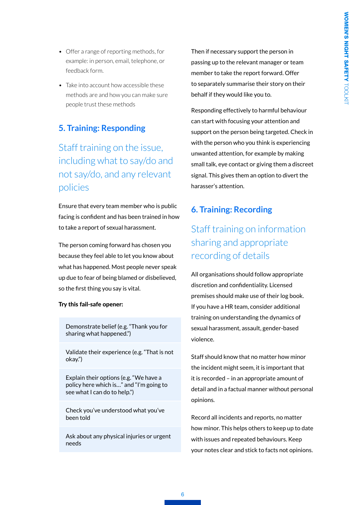- Offer a range of reporting methods, for example: in person, email, telephone, or feedback form.
- Take into account how accessible these methods are and how you can make sure people trust these methods

### **5. Training: Responding**

# Staff training on the issue, including what to say/do and not say/do, and any relevant policies

Ensure that every team member who is public facing is confident and has been trained in how to take a report of sexual harassment.

The person coming forward has chosen you because they feel able to let you know about what has happened. Most people never speak up due to fear of being blamed or disbelieved, so the first thing you say is vital.

#### Try this fail-safe opener:

Demonstrate belief (e.g. "Thank you for sharing what happened.")

Validate their experience (e.g. "That is not okay.")

Explain their options (e.g. "We have a policy here which is…" and "I'm going to see what I can do to help.")

Check you've understood what you've been told

Ask about any physical injuries or urgent needs

Then if necessary support the person in passing up to the relevant manager or team member to take the report forward. Offer to separately summarise their story on their behalf if they would like you to.

Responding effectively to harmful behaviour can start with focusing your attention and support on the person being targeted. Check in with the person who you think is experiencing unwanted attention, for example by making small talk, eye contact or giving them a discreet signal. This gives them an option to divert the harasser's attention.

### **6. Training: Recording**

# Staff training on information sharing and appropriate recording of details

All organisations should follow appropriate discretion and confidentiality. Licensed premises should make use of their log book. If you have a HR team, consider additional training on understanding the dynamics of sexual harassment, assault, gender-based violence.

Staff should know that no matter how minor the incident might seem, it is important that it is recorded – in an appropriate amount of detail and in a factual manner without personal opinions.

Record all incidents and reports, no matter how minor. This helps others to keep up to date with issues and repeated behaviours. Keep your notes clear and stick to facts not opinions.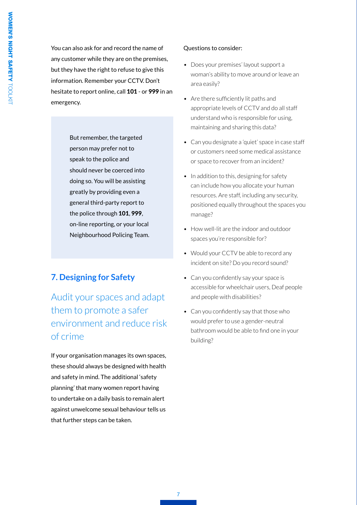You can also ask for and record the name of any customer while they are on the premises, but they have the right to refuse to give this information. Remember your CCTV. Don't hesitate to report online, call 101 - or 999 in an emergency.

> But remember, the targeted person may prefer not to speak to the police and should never be coerced into doing so. You will be assisting greatly by providing even a general third-party report to the police through 101, 999, on-line reporting, or your local Neighbourhood Policing Team.

# **7. Designing for Safety**

Audit your spaces and adapt them to promote a safer environment and reduce risk of crime

If your organisation manages its own spaces, these should always be designed with health and safety in mind. The additional 'safety planning' that many women report having to undertake on a daily basis to remain alert against unwelcome sexual behaviour tells us that further steps can be taken.

#### Questions to consider:

- Does your premises' layout support a woman's ability to move around or leave an area easily?
- Are there sufficiently lit paths and appropriate levels of CCTV and do all staff understand who is responsible for using, maintaining and sharing this data?
- Can you designate a 'quiet' space in case staff or customers need some medical assistance or space to recover from an incident?
- In addition to this, designing for safety can include how you allocate your human resources. Are staff, including any security, positioned equally throughout the spaces you manage?
- How well-lit are the indoor and outdoor spaces you're responsible for?
- Would your CCTV be able to record any incident on site? Do you record sound?
- Can you confidently say your space is accessible for wheelchair users, Deaf people and people with disabilities?
- Can you confidently say that those who would prefer to use a gender-neutral bathroom would be able to find one in your building?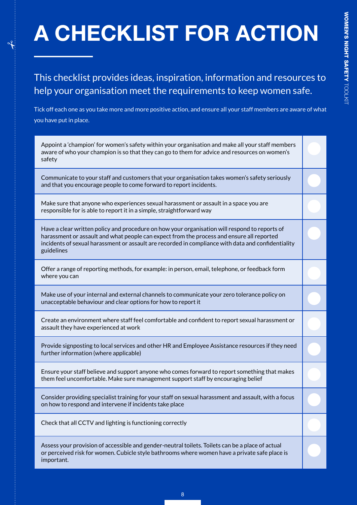# A CHECKLIST FOR ACTION

This checklist provides ideas, inspiration, information and resources to help your organisation meet the requirements to keep women safe.

Tick off each one as you take more and more positive action, and ensure all your staff members are aware of what you have put in place.

Appoint a 'champion' for women's safety within your organisation and make all your staff members aware of who your champion is so that they can go to them for advice and resources on women's safety

Communicate to your staff and customers that your organisation takes women's safety seriously and that you encourage people to come forward to report incidents.

Make sure that anyone who experiences sexual harassment or assault in a space you are responsible for is able to report it in a simple, straightforward way

Have a clear written policy and procedure on how your organisation will respond to reports of harassment or assault and what people can expect from the process and ensure all reported incidents of sexual harassment or assault are recorded in compliance with data and confidentiality guidelines

Offer a range of reporting methods, for example: in person, email, telephone, or feedback form where you can

Make use of your internal and external channels to communicate your zero tolerance policy on unacceptable behaviour and clear options for how to report it

Create an environment where staff feel comfortable and confident to report sexual harassment or assault they have experienced at work

Provide signposting to local services and other HR and Employee Assistance resources if they need further information (where applicable)

Ensure your staff believe and support anyone who comes forward to report something that makes them feel uncomfortable. Make sure management support staff by encouraging belief

Consider providing specialist training for your staff on sexual harassment and assault, with a focus on how to respond and intervene if incidents take place

Check that all CCTV and lighting is functioning correctly

Assess your provision of accessible and gender-neutral toilets. Toilets can be a place of actual or perceived risk for women. Cubicle style bathrooms where women have a private safe place is important.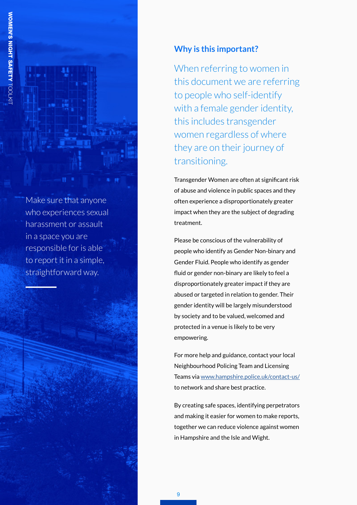Make sure that anyone who experiences sexual harassment or assault in a space you are responsible for is able to report it in a simple, straightforward way.

## **Why is this important?**

When referring to women in this document we are referring to people who self-identify with a female gender identity, this includes transgender women regardless of where they are on their journey of transitioning.

Transgender Women are often at significant risk of abuse and violence in public spaces and they often experience a disproportionately greater impact when they are the subject of degrading treatment.

Please be conscious of the vulnerability of people who identify as Gender Non-binary and Gender Fluid. People who identify as gender fluid or gender non-binary are likely to feel a disproportionately greater impact if they are abused or targeted in relation to gender. Their gender identity will be largely misunderstood by society and to be valued, welcomed and protected in a venue is likely to be very empowering.

For more help and guidance, contact your local Neighbourhood Policing Team and Licensing Teams via www.hampshire.police.uk/contact-us/ to network and share best practice.

By creating safe spaces, identifying perpetrators and making it easier for women to make reports, together we can reduce violence against women in Hampshire and the Isle and Wight.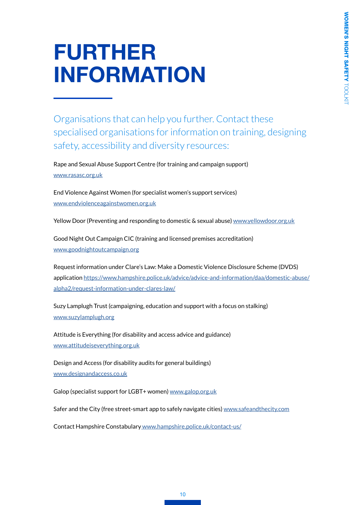# FURTHER INFORMATION

Organisations that can help you further. Contact these specialised organisations for information on training, designing safety, accessibility and diversity resources:

Rape and Sexual Abuse Support Centre (for training and campaign support) www.rasasc.org.uk

End Violence Against Women (for specialist women's support services) www.endviolenceagainstwomen.org.uk

Yellow Door (Preventing and responding to domestic & sexual abuse) www.yellowdoor.org.uk

Good Night Out Campaign CIC (training and licensed premises accreditation) www.goodnightoutcampaign.org

Request information under Clare's Law: Make a Domestic Violence Disclosure Scheme (DVDS) application https://www.hampshire.police.uk/advice/advice-and-information/daa/domestic-abuse/ alpha2/request-information-under-clares-law/

Suzy Lamplugh Trust (campaigning, education and support with a focus on stalking) www.suzylamplugh.org

Attitude is Everything (for disability and access advice and guidance) www.attitudeiseverything.org.uk

Design and Access (for disability audits for general buildings) www.designandaccess.co.uk

Galop (specialist support for LGBT+ women) www.galop.org.uk

Safer and the City (free street-smart app to safely navigate cities) www.safeandthecity.com

Contact [Hampshire Constabulary](https://www.hampshire.police.uk/contact/af/contact-us/) www.hampshire.police.uk/contact-us/